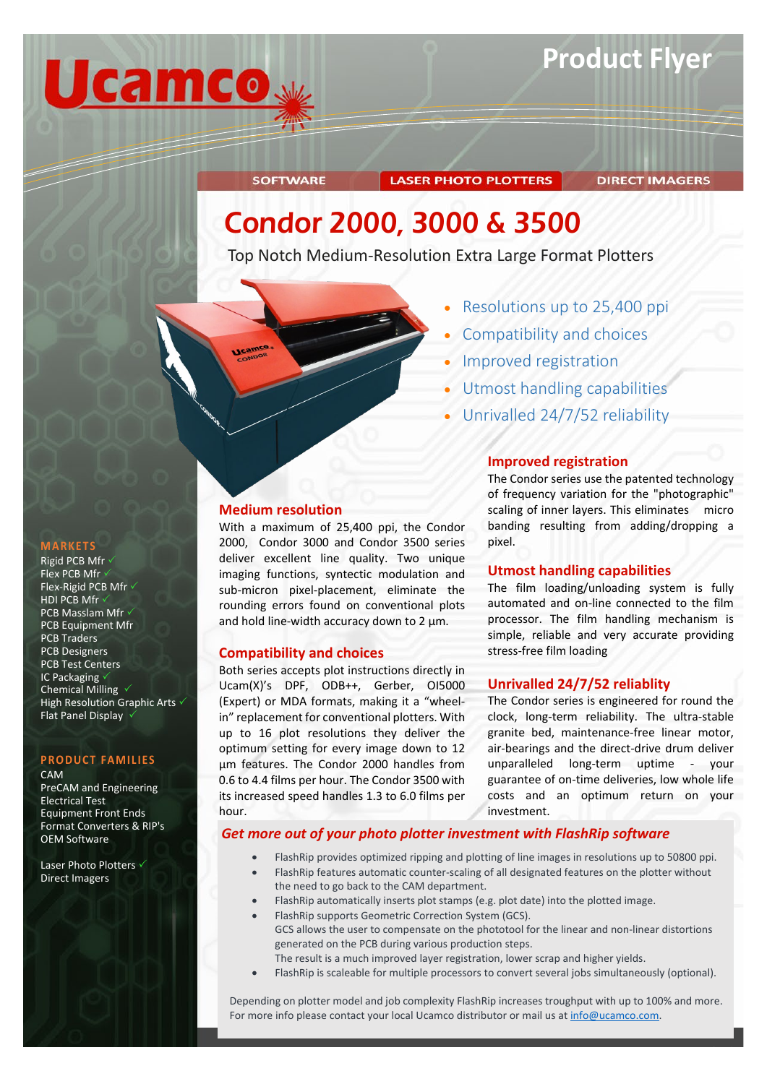

### **LASER PHOTO PLOTTERS**

#### **DIRECT IMAGERS**

## Condor 2000, 3000 & 3500

Top Notch Medium-Resolution Extra Large Format Plotters

**Medium resolution**

**Ucam** 

**SOFTWARE** 

**Compatibility and choices**

hour.

With a maximum of 25,400 ppi, the Condor 2000, Condor 3000 and Condor 3500 series deliver excellent line quality. Two unique imaging functions, syntectic modulation and sub-micron pixel-placement, eliminate the rounding errors found on conventional plots and hold line-width accuracy down to  $2 \mu m$ .

Both series accepts plot instructions directly in Ucam(X)'s DPF, ODB++, Gerber, OI5000 (Expert) or MDA formats, making it a "wheelin" replacement for conventional plotters. With up to 16 plot resolutions they deliver the optimum setting for every image down to 12 µm features. The Condor 2000 handles from 0.6 to 4.4 films per hour. The Condor 3500 with its increased speed handles 1.3 to 6.0 films per

- Improved registration
- Utmost handling capabilities

Compatibility and choices

• Resolutions up to 25,400 ppi

• Unrivalled 24/7/52 reliability

#### **Improved registration**

The Condor series use the patented technology of frequency variation for the "photographic" scaling of inner layers. This eliminates micro banding resulting from adding/dropping a pixel.

#### **Utmost handling capabilities**

The film loading/unloading system is fully automated and on-line connected to the film processor. The film handling mechanism is simple, reliable and very accurate providing stress-free film loading

#### **Unrivalled 24/7/52 reliablity**

The Condor series is engineered for round the clock, long-term reliability. The ultra-stable granite bed, maintenance-free linear motor, air-bearings and the direct-drive drum deliver unparalleled long-term uptime - your guarantee of on-time deliveries, low whole life costs and an optimum return on your investment.

**We Try Harder !**

#### *Get more out of your photo plotter investment with FlashRip software*

- FlashRip provides optimized ripping and plotting of line images in resolutions up to 50800 ppi.
- FlashRip features automatic counter-scaling of all designated features on the plotter without
- the need to go back to the CAM department. • FlashRip automatically inserts plot stamps (e.g. plot date) into the plotted image.
- FlashRip supports Geometric Correction System (GCS).
- GCS allows the user to compensate on the phototool for the linear and non-linear distortions generated on the PCB during various production steps.
- The result is a much improved layer registration, lower scrap and higher yields.
- FlashRip is scaleable for multiple processors to convert several jobs simultaneously (optional).

Depending on plotter model and job complexity FlashRip increases troughput with up to 100% and more. For more info please contact your local Ucamco distributor or mail us at [info@ucamco.com.](mailto:info@ucamco.com)

### **MARKETS**

Rigid PCB Mfr Flex PCB Mfr v Flex-Rigid PCB Mfr HDI PCB Mfr **PCB Masslam Mfr √** PCB Equipment Mfr PCB Traders PCB Designers PCB Test Centers IC Packaging Chemical Milling  $\sqrt{}$ High Resolution Graphic Arts  $\checkmark$ Flat Panel Display

#### **PRODUCT FAMILIES**

CAM

PreCAM and Engineering Electrical Test Equipment Front Ends Format Converters & RIP's OEM Software

Laser Photo Plotters √ Direct Imagers